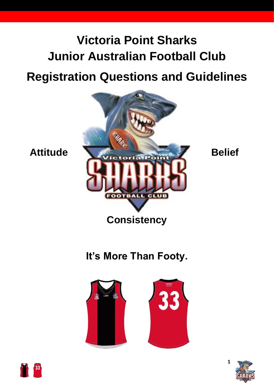# **Victoria Point Sharks Junior Australian Football Club**

## **Registration Questions and Guidelines**



## **It's More Than Footy.**





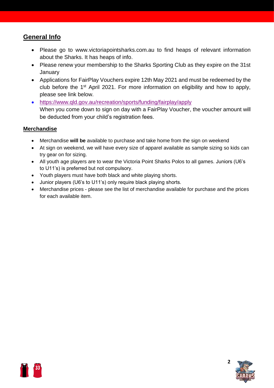#### **General Info**

- Please go to www.victoriapointsharks.com.au to find heaps of relevant information about the Sharks. It has heaps of info.
- Please renew your membership to the Sharks Sporting Club as they expire on the 31st **January**
- Applications for FairPlay Vouchers expire 12th May 2021 and must be redeemed by the club before the 1<sup>st</sup> April 2021. For more information on eligibility and how to apply, please see link below.
- <https://www.qld.gov.au/recreation/sports/funding/fairplay/apply> When you come down to sign on day with a FairPlay Voucher, the voucher amount will be deducted from your child's registration fees.

#### **Merchandise**

- Merchandise **will be** available to purchase and take home from the sign on weekend
- At sign on weekend, we will have every size of apparel available as sample sizing so kids can try gear on for sizing.
- All youth age players are to wear the Victoria Point Sharks Polos to all games. Juniors (U6's to U11's) is preferred but not compulsory.
- Youth players must have both black and white playing shorts.
- Junior players (U6's to U11's) only require black playing shorts.
- Merchandise prices please see the list of merchandise available for purchase and the prices for each available item.



**2**

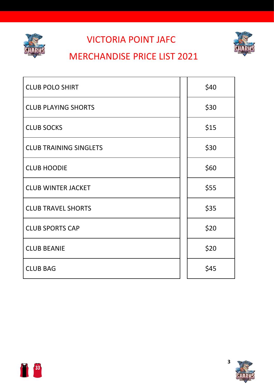

### VICTORIA POINT JAFC



### MERCHANDISE PRICE LIST 2021

| <b>CLUB POLO SHIRT</b>        | \$40 |
|-------------------------------|------|
| <b>CLUB PLAYING SHORTS</b>    | \$30 |
| <b>CLUB SOCKS</b>             | \$15 |
| <b>CLUB TRAINING SINGLETS</b> | \$30 |
| <b>CLUB HOODIE</b>            | \$60 |
| <b>CLUB WINTER JACKET</b>     | \$55 |
| <b>CLUB TRAVEL SHORTS</b>     | \$35 |
| <b>CLUB SPORTS CAP</b>        | \$20 |
| <b>CLUB BEANIE</b>            | \$20 |
| <b>CLUB BAG</b>               | \$45 |



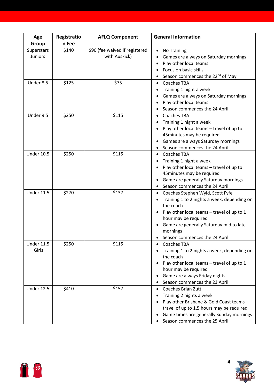| Age               | Registratio | <b>AFLQ Component</b>          | <b>General Information</b>                   |
|-------------------|-------------|--------------------------------|----------------------------------------------|
| Group             | n Fee       |                                |                                              |
| Superstars        | \$140       | \$90 (fee waived if registered | <b>No Training</b>                           |
| <b>Juniors</b>    |             | with Auskick)                  | Games are always on Saturday mornings        |
|                   |             |                                | Play other local teams                       |
|                   |             |                                | Focus on basic skills                        |
|                   |             |                                | Season commences the 22 <sup>nd</sup> of May |
| Under 8.5         | \$125       | \$75                           | <b>Coaches TBA</b>                           |
|                   |             |                                | Training 1 night a week                      |
|                   |             |                                | Games are always on Saturday mornings        |
|                   |             |                                | Play other local teams                       |
|                   |             |                                | Season commences the 24 April                |
| Under 9.5         | \$250       | \$115                          | <b>Coaches TBA</b><br>$\bullet$              |
|                   |             |                                | Training 1 night a week                      |
|                   |             |                                | Play other local teams - travel of up to     |
|                   |             |                                | 45 minutes may be required                   |
|                   |             |                                | Games are always Saturday mornings           |
|                   |             |                                | Season commences the 24 April                |
| <b>Under 10.5</b> | \$250       | \$115                          | <b>Coaches TBA</b><br>$\bullet$              |
|                   |             |                                | Training 1 night a week                      |
|                   |             |                                | Play other local teams - travel of up to     |
|                   |             |                                | 45 minutes may be required                   |
|                   |             |                                | Game are generally Saturday mornings         |
|                   |             |                                | Season commences the 24 April                |
| <b>Under 11.5</b> | \$270       | \$137                          | Coaches Stephen Wyld, Scott Fyfe<br>٠        |
|                   |             |                                | Training 1 to 2 nights a week, depending on  |
|                   |             |                                | the coach                                    |
|                   |             |                                | Play other local teams - travel of up to 1   |
|                   |             |                                | hour may be required                         |
|                   |             |                                | Game are generally Saturday mid to late      |
|                   |             |                                | mornings                                     |
|                   |             |                                | Season commences the 24 April                |
| <b>Under 11.5</b> | \$250       | \$115                          | <b>Coaches TBA</b>                           |
| Girls             |             |                                | Training 1 to 2 nights a week, depending on  |
|                   |             |                                | the coach                                    |
|                   |             |                                | Play other local teams - travel of up to 1   |
|                   |             |                                | hour may be required                         |
|                   |             |                                | Game are always Friday nights                |
|                   |             |                                | Season commences the 23 April                |
| <b>Under 12.5</b> | \$410       | \$157                          | <b>Coaches Brian Zutt</b>                    |
|                   |             |                                | Training 2 nights a week                     |
|                   |             |                                | Play other Brisbane & Gold Coast teams -     |
|                   |             |                                | travel of up to 1.5 hours may be required    |
|                   |             |                                | Game times are generally Sunday mornings     |
|                   |             |                                | Season commences the 25 April                |



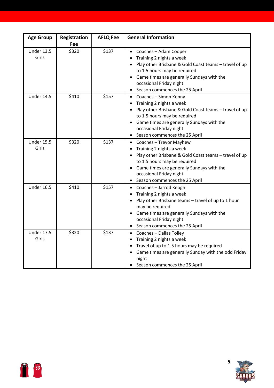| <b>Age Group</b>           | Registration<br>Fee | <b>AFLQ Fee</b> | <b>General Information</b>                                                                                                                                                                                                                                                                      |
|----------------------------|---------------------|-----------------|-------------------------------------------------------------------------------------------------------------------------------------------------------------------------------------------------------------------------------------------------------------------------------------------------|
| <b>Under 13.5</b><br>Girls | \$320               | \$137           | Coaches - Adam Cooper<br>$\bullet$<br>Training 2 nights a week<br>Play other Brisbane & Gold Coast teams - travel of up<br>to 1.5 hours may be required<br>Game times are generally Sundays with the<br>occasional Friday night<br>Season commences the 25 April<br>$\bullet$                   |
| <b>Under 14.5</b>          | \$410               | \$157           | Coaches - Simon Kenny<br>$\bullet$<br>Training 2 nights a week<br>$\bullet$<br>Play other Brisbane & Gold Coast teams - travel of up<br>to 1.5 hours may be required<br>Game times are generally Sundays with the<br>$\bullet$<br>occasional Friday night<br>Season commences the 25 April<br>٠ |
| <b>Under 15.5</b><br>Girls | \$320               | \$137           | Coaches - Trevor Mayhew<br>$\bullet$<br>Training 2 nights a week<br>Play other Brisbane & Gold Coast teams - travel of up<br>to 1.5 hours may be required<br>Game times are generally Sundays with the<br>occasional Friday night<br>Season commences the 25 April                              |
| <b>Under 16.5</b>          | \$410               | \$157           | Coaches - Jarrod Keogh<br>$\bullet$<br>Training 2 nights a week<br>Play other Brisbane teams - travel of up to 1 hour<br>may be required<br>Game times are generally Sundays with the<br>$\bullet$<br>occasional Friday night<br>Season commences the 25 April<br>$\bullet$                     |
| <b>Under 17.5</b><br>Girls | \$320               | \$137           | Coaches - Dallas Tolley<br>$\bullet$<br>Training 2 nights a week<br>$\bullet$<br>Travel of up to 1.5 hours may be required<br>$\bullet$<br>Game times are generally Sunday with the odd Friday<br>$\bullet$<br>night<br>• Season commences the 25 April                                         |



**5**